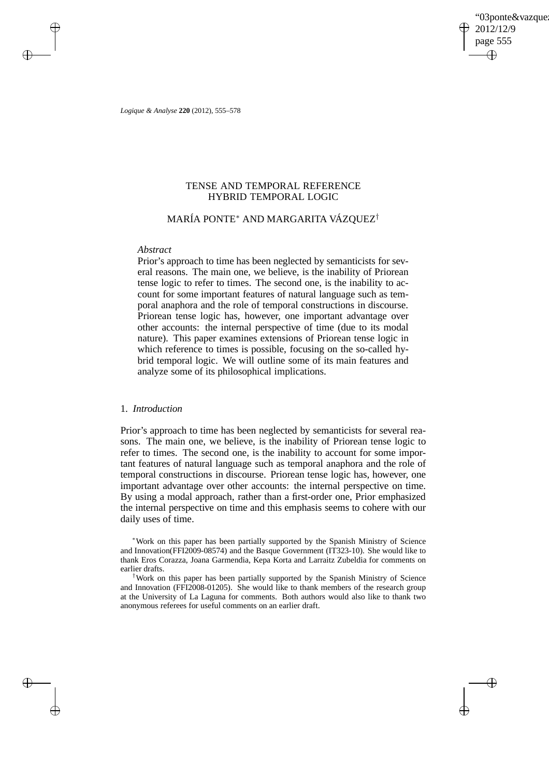'03ponte&vazque 2012/12/9 page 555 ✐ ✐

✐

✐

*Logique & Analyse* **220** (2012), 555–578

 $\rightarrow$ 

 $\rightarrow$ 

✐

✐

# TENSE AND TEMPORAL REFERENCE HYBRID TEMPORAL LOGIC

# MARÍA PONTE<sup>∗</sup> AND MARGARITA VÁZQUEZ†

## *Abstract*

Prior's approach to time has been neglected by semanticists for several reasons. The main one, we believe, is the inability of Priorean tense logic to refer to times. The second one, is the inability to account for some important features of natural language such as temporal anaphora and the role of temporal constructions in discourse. Priorean tense logic has, however, one important advantage over other accounts: the internal perspective of time (due to its modal nature). This paper examines extensions of Priorean tense logic in which reference to times is possible, focusing on the so-called hybrid temporal logic. We will outline some of its main features and analyze some of its philosophical implications.

# 1. *Introduction*

Prior's approach to time has been neglected by semanticists for several reasons. The main one, we believe, is the inability of Priorean tense logic to refer to times. The second one, is the inability to account for some important features of natural language such as temporal anaphora and the role of temporal constructions in discourse. Priorean tense logic has, however, one important advantage over other accounts: the internal perspective on time. By using a modal approach, rather than a first-order one, Prior emphasized the internal perspective on time and this emphasis seems to cohere with our daily uses of time.

<sup>∗</sup>Work on this paper has been partially supported by the Spanish Ministry of Science and Innovation(FFI2009-08574) and the Basque Government (IT323-10). She would like to thank Eros Corazza, Joana Garmendia, Kepa Korta and Larraitz Zubeldia for comments on earlier drafts.

†Work on this paper has been partially supported by the Spanish Ministry of Science and Innovation (FFI2008-01205). She would like to thank members of the research group at the University of La Laguna for comments. Both authors would also like to thank two anonymous referees for useful comments on an earlier draft.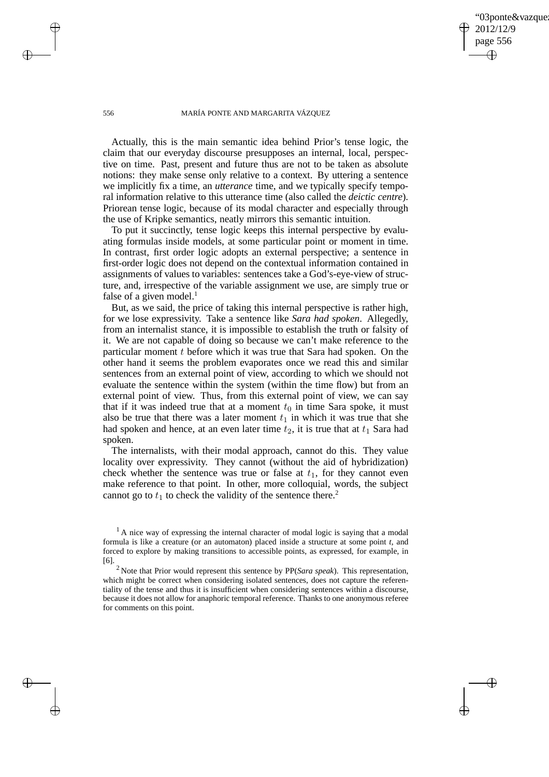03ponte&vazque 2012/12/9 page 556 ✐ ✐

✐

✐

## 556 MARÍA PONTE AND MARGARITA VÁZQUEZ

Actually, this is the main semantic idea behind Prior's tense logic, the claim that our everyday discourse presupposes an internal, local, perspective on time. Past, present and future thus are not to be taken as absolute notions: they make sense only relative to a context. By uttering a sentence we implicitly fix a time, an *utterance* time, and we typically specify temporal information relative to this utterance time (also called the *deictic centre*). Priorean tense logic, because of its modal character and especially through the use of Kripke semantics, neatly mirrors this semantic intuition.

To put it succinctly, tense logic keeps this internal perspective by evaluating formulas inside models, at some particular point or moment in time. In contrast, first order logic adopts an external perspective; a sentence in first-order logic does not depend on the contextual information contained in assignments of values to variables: sentences take a God's-eye-view of structure, and, irrespective of the variable assignment we use, are simply true or false of a given model. $<sup>1</sup>$ </sup>

But, as we said, the price of taking this internal perspective is rather high, for we lose expressivity. Take a sentence like *Sara had spoken*. Allegedly, from an internalist stance, it is impossible to establish the truth or falsity of it. We are not capable of doing so because we can't make reference to the particular moment  $t$  before which it was true that Sara had spoken. On the other hand it seems the problem evaporates once we read this and similar sentences from an external point of view, according to which we should not evaluate the sentence within the system (within the time flow) but from an external point of view. Thus, from this external point of view, we can say that if it was indeed true that at a moment  $t_0$  in time Sara spoke, it must also be true that there was a later moment  $t_1$  in which it was true that she had spoken and hence, at an even later time  $t_2$ , it is true that at  $t_1$  Sara had spoken.

The internalists, with their modal approach, cannot do this. They value locality over expressivity. They cannot (without the aid of hybridization) check whether the sentence was true or false at  $t_1$ , for they cannot even make reference to that point. In other, more colloquial, words, the subject cannot go to  $t_1$  to check the validity of the sentence there.<sup>2</sup>

 $\rightarrow$ 

 $\rightarrow$ 

✐

 $<sup>1</sup>$  A nice way of expressing the internal character of modal logic is saying that a modal</sup> formula is like a creature (or an automaton) placed inside a structure at some point *t*, and forced to explore by making transitions to accessible points, as expressed, for example, in [6].

<sup>2</sup> Note that Prior would represent this sentence by PP(*Sara speak*). This representation, which might be correct when considering isolated sentences, does not capture the referentiality of the tense and thus it is insufficient when considering sentences within a discourse, because it does not allow for anaphoric temporal reference. Thanks to one anonymous referee for comments on this point.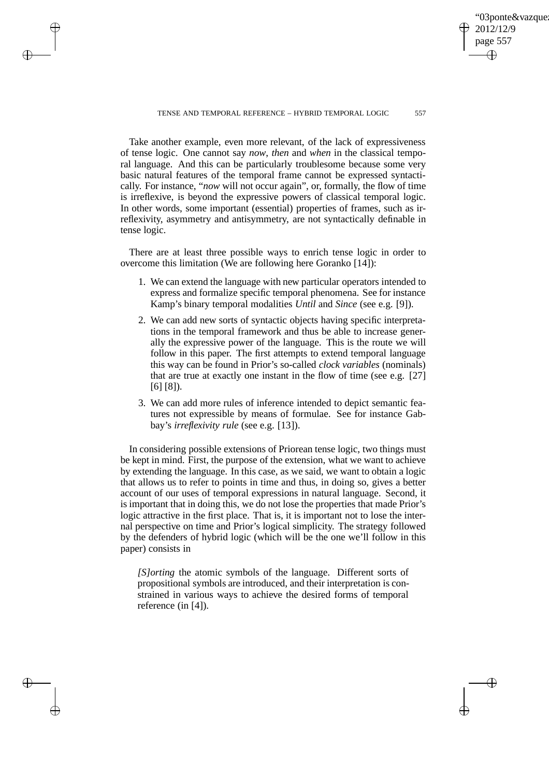03ponte&vazque 12/12/9 page 557 ✐ ✐

✐

✐

## TENSE AND TEMPORAL REFERENCE – HYBRID TEMPORAL LOGIC 557

Take another example, even more relevant, of the lack of expressiveness of tense logic. One cannot say *now*, *then* and *when* in the classical temporal language. And this can be particularly troublesome because some very basic natural features of the temporal frame cannot be expressed syntactically. For instance, "*now* will not occur again", or, formally, the flow of time is irreflexive, is beyond the expressive powers of classical temporal logic. In other words, some important (essential) properties of frames, such as irreflexivity, asymmetry and antisymmetry, are not syntactically definable in tense logic.

 $\rightarrow$ 

 $\rightarrow$ 

✐

✐

There are at least three possible ways to enrich tense logic in order to overcome this limitation (We are following here Goranko [14]):

- 1. We can extend the language with new particular operators intended to express and formalize specific temporal phenomena. See for instance Kamp's binary temporal modalities *Until* and *Since* (see e.g. [9]).
- 2. We can add new sorts of syntactic objects having specific interpretations in the temporal framework and thus be able to increase generally the expressive power of the language. This is the route we will follow in this paper. The first attempts to extend temporal language this way can be found in Prior's so-called *clock variables* (nominals) that are true at exactly one instant in the flow of time (see e.g. [27] [6] [8]).
- 3. We can add more rules of inference intended to depict semantic features not expressible by means of formulae. See for instance Gabbay's *irreflexivity rule* (see e.g. [13]).

In considering possible extensions of Priorean tense logic, two things must be kept in mind. First, the purpose of the extension, what we want to achieve by extending the language. In this case, as we said, we want to obtain a logic that allows us to refer to points in time and thus, in doing so, gives a better account of our uses of temporal expressions in natural language. Second, it is important that in doing this, we do not lose the properties that made Prior's logic attractive in the first place. That is, it is important not to lose the internal perspective on time and Prior's logical simplicity. The strategy followed by the defenders of hybrid logic (which will be the one we'll follow in this paper) consists in

*[S]orting* the atomic symbols of the language. Different sorts of propositional symbols are introduced, and their interpretation is constrained in various ways to achieve the desired forms of temporal reference (in [4]).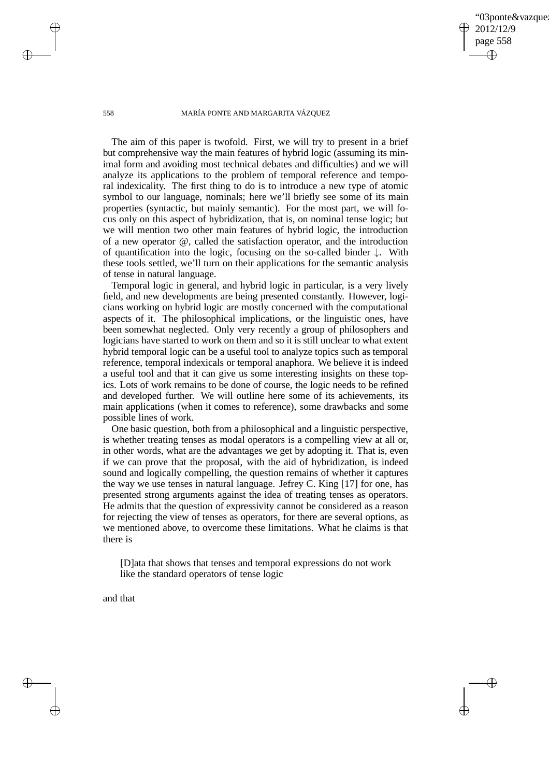03ponte&vazque 2012/12/9 page 558 ✐ ✐

✐

✐

## 558 MARÍA PONTE AND MARGARITA VÁZQUEZ

The aim of this paper is twofold. First, we will try to present in a brief but comprehensive way the main features of hybrid logic (assuming its minimal form and avoiding most technical debates and difficulties) and we will analyze its applications to the problem of temporal reference and temporal indexicality. The first thing to do is to introduce a new type of atomic symbol to our language, nominals; here we'll briefly see some of its main properties (syntactic, but mainly semantic). For the most part, we will focus only on this aspect of hybridization, that is, on nominal tense logic; but we will mention two other main features of hybrid logic, the introduction of a new operator @, called the satisfaction operator, and the introduction of quantification into the logic, focusing on the so-called binder ↓. With these tools settled, we'll turn on their applications for the semantic analysis of tense in natural language.

Temporal logic in general, and hybrid logic in particular, is a very lively field, and new developments are being presented constantly. However, logicians working on hybrid logic are mostly concerned with the computational aspects of it. The philosophical implications, or the linguistic ones, have been somewhat neglected. Only very recently a group of philosophers and logicians have started to work on them and so it is still unclear to what extent hybrid temporal logic can be a useful tool to analyze topics such as temporal reference, temporal indexicals or temporal anaphora. We believe it is indeed a useful tool and that it can give us some interesting insights on these topics. Lots of work remains to be done of course, the logic needs to be refined and developed further. We will outline here some of its achievements, its main applications (when it comes to reference), some drawbacks and some possible lines of work.

One basic question, both from a philosophical and a linguistic perspective, is whether treating tenses as modal operators is a compelling view at all or, in other words, what are the advantages we get by adopting it. That is, even if we can prove that the proposal, with the aid of hybridization, is indeed sound and logically compelling, the question remains of whether it captures the way we use tenses in natural language. Jefrey C. King [17] for one, has presented strong arguments against the idea of treating tenses as operators. He admits that the question of expressivity cannot be considered as a reason for rejecting the view of tenses as operators, for there are several options, as we mentioned above, to overcome these limitations. What he claims is that there is

[D]ata that shows that tenses and temporal expressions do not work like the standard operators of tense logic

and that

 $\rightarrow$ 

✐

 $\rightarrow$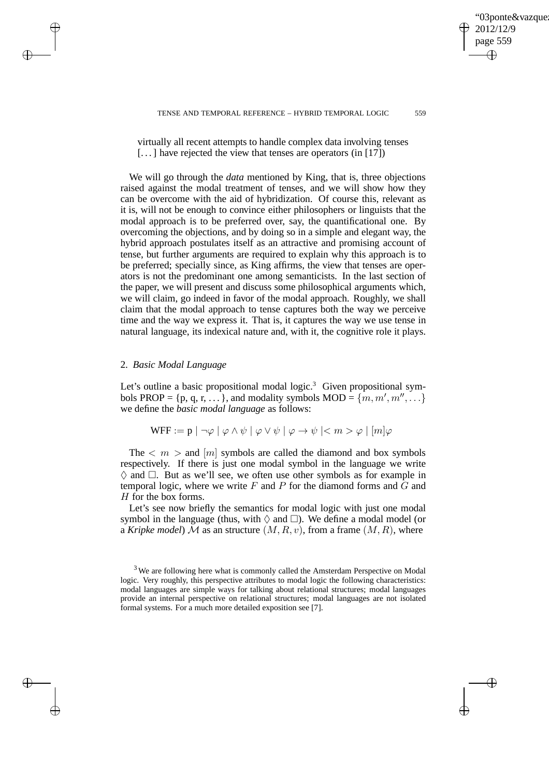03ponte&vazque 2012/12/9 page 559 ✐ ✐

✐

✐

## TENSE AND TEMPORAL REFERENCE – HYBRID TEMPORAL LOGIC 559

virtually all recent attempts to handle complex data involving tenses  $[\dots]$  have rejected the view that tenses are operators (in [17])

We will go through the *data* mentioned by King, that is, three objections raised against the modal treatment of tenses, and we will show how they can be overcome with the aid of hybridization. Of course this, relevant as it is, will not be enough to convince either philosophers or linguists that the modal approach is to be preferred over, say, the quantificational one. By overcoming the objections, and by doing so in a simple and elegant way, the hybrid approach postulates itself as an attractive and promising account of tense, but further arguments are required to explain why this approach is to be preferred; specially since, as King affirms, the view that tenses are operators is not the predominant one among semanticists. In the last section of the paper, we will present and discuss some philosophical arguments which, we will claim, go indeed in favor of the modal approach. Roughly, we shall claim that the modal approach to tense captures both the way we perceive time and the way we express it. That is, it captures the way we use tense in natural language, its indexical nature and, with it, the cognitive role it plays.

# 2. *Basic Modal Language*

 $\rightarrow$ 

 $\rightarrow$ 

✐

✐

Let's outline a basic propositional modal logic.<sup>3</sup> Given propositional symbols PROP = {p, q, r, ...}, and modality symbols MOD = { $\{m, m', m'', \ldots\}$ } we define the *basic modal language* as follows:

$$
\text{WFF} := \mathbf{p} \mid \neg \varphi \mid \varphi \land \psi \mid \varphi \lor \psi \mid \varphi \to \psi \mid < m > \varphi \mid [m] \varphi
$$

The  $\langle m \rangle$  and  $[m]$  symbols are called the diamond and box symbols respectively. If there is just one modal symbol in the language we write  $\Diamond$  and  $\Box$ . But as we'll see, we often use other symbols as for example in temporal logic, where we write  $F$  and  $P$  for the diamond forms and  $G$  and H for the box forms.

Let's see now briefly the semantics for modal logic with just one modal symbol in the language (thus, with  $\Diamond$  and  $\Box$ ). We define a modal model (or a *Kripke model*) M as an structure  $(M, R, v)$ , from a frame  $(M, R)$ , where

<sup>&</sup>lt;sup>3</sup> We are following here what is commonly called the Amsterdam Perspective on Modal logic. Very roughly, this perspective attributes to modal logic the following characteristics: modal languages are simple ways for talking about relational structures; modal languages provide an internal perspective on relational structures; modal languages are not isolated formal systems. For a much more detailed exposition see [7].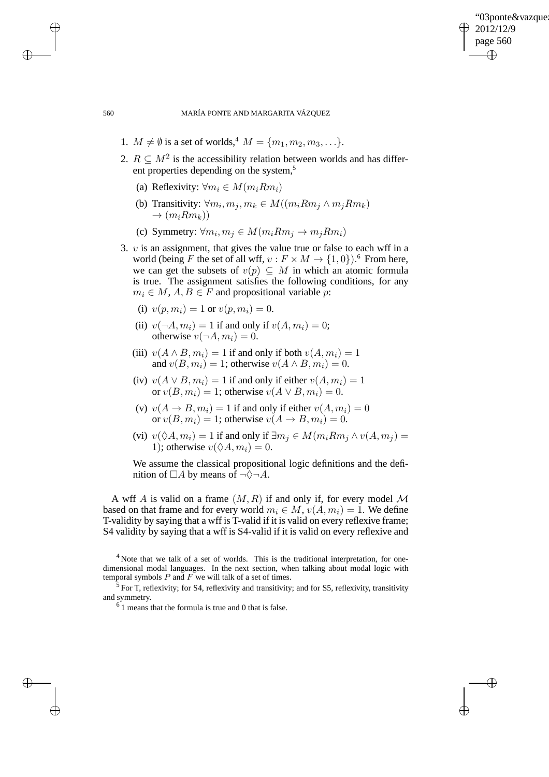✐

560 MARÍA PONTE AND MARGARITA VÁZQUEZ

- 1.  $M \neq \emptyset$  is a set of worlds,<sup>4</sup>  $M = \{m_1, m_2, m_3, ...\}$ .
- 2.  $R \subseteq M^2$  is the accessibility relation between worlds and has different properties depending on the system,<sup>5</sup>
	- (a) Reflexivity:  $\forall m_i \in M(m_i R m_i)$
	- (b) Transitivity:  $\forall m_i, m_j, m_k \in M((m_i R m_j \land m_j R m_k))$  $\rightarrow$   $(m_i R m_k)$
	- (c) Symmetry:  $\forall m_i, m_j \in M(m_i R m_j \rightarrow m_j R m_i)$
- 3.  $v$  is an assignment, that gives the value true or false to each wff in a world (being F the set of all wff,  $v : F \times M \to \{1, 0\}$ ).<sup>6</sup> From here, we can get the subsets of  $v(p) \subseteq M$  in which an atomic formula is true. The assignment satisfies the following conditions, for any  $m_i \in M$ ,  $A, B \in F$  and propositional variable p:
	- (i)  $v(p, m_i) = 1$  or  $v(p, m_i) = 0$ .
	- (ii)  $v(\neg A, m_i) = 1$  if and only if  $v(A, m_i) = 0$ ; otherwise  $v(\neg A, m_i) = 0$ .
	- (iii)  $v(A \wedge B, m_i) = 1$  if and only if both  $v(A, m_i) = 1$ and  $v(B, m<sub>i</sub>) = 1$ ; otherwise  $v(A \wedge B, m<sub>i</sub>) = 0$ .
	- (iv)  $v(A \vee B, m_i) = 1$  if and only if either  $v(A, m_i) = 1$ or  $v(B, m_i) = 1$ ; otherwise  $v(A \vee B, m_i) = 0$ .
	- (v)  $v(A \rightarrow B, m_i) = 1$  if and only if either  $v(A, m_i) = 0$ or  $v(B, m_i) = 1$ ; otherwise  $v(A \rightarrow B, m_i) = 0$ .
	- (vi)  $v(\Diamond A, m_i) = 1$  if and only if  $\exists m_i \in M(m_i R m_i \land v(A, m_i))$ 1); otherwise  $v(\Diamond A, m_i) = 0$ .

We assume the classical propositional logic definitions and the definition of  $\Box A$  by means of  $\neg \Diamond \neg A$ .

A wff A is valid on a frame  $(M, R)$  if and only if, for every model M based on that frame and for every world  $m_i \in M$ ,  $v(A, m_i) = 1$ . We define T-validity by saying that a wff is T-valid if it is valid on every reflexive frame; S4 validity by saying that a wff is S4-valid if it is valid on every reflexive and

<sup>4</sup> Note that we talk of a set of worlds. This is the traditional interpretation, for onedimensional modal languages. In the next section, when talking about modal logic with temporal symbols  $P$  and  $F$  we will talk of a set of times.

 $\rightarrow$ 

 $\rightarrow$ 

✐

 $5$  For T, reflexivity; for S4, reflexivity and transitivity; and for S5, reflexivity, transitivity and symmetry.

 $6<sup>6</sup>$  1 means that the formula is true and 0 that is false.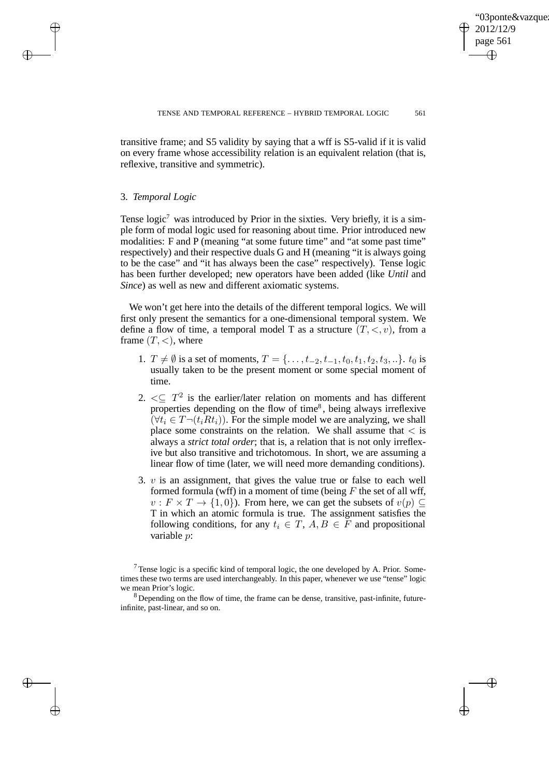✐

transitive frame; and S5 validity by saying that a wff is S5-valid if it is valid on every frame whose accessibility relation is an equivalent relation (that is, reflexive, transitive and symmetric).

# 3. *Temporal Logic*

 $\rightarrow$ 

 $\rightarrow$ 

✐

✐

Tense logic<sup>7</sup> was introduced by Prior in the sixties. Very briefly, it is a simple form of modal logic used for reasoning about time. Prior introduced new modalities: F and P (meaning "at some future time" and "at some past time" respectively) and their respective duals G and H (meaning "it is always going to be the case" and "it has always been the case" respectively). Tense logic has been further developed; new operators have been added (like *Until* and *Since*) as well as new and different axiomatic systems.

We won't get here into the details of the different temporal logics. We will first only present the semantics for a one-dimensional temporal system. We define a flow of time, a temporal model T as a structure  $(T, \langle, v \rangle)$ , from a frame  $(T, <)$ , where

- 1.  $T \neq \emptyset$  is a set of moments,  $T = \{ \ldots, t_{-2}, t_{-1}, t_0, t_1, t_2, t_3, \ldots \}$ .  $t_0$  is usually taken to be the present moment or some special moment of time.
- 2.  $\leq \sqrt{T^2}$  is the earlier/later relation on moments and has different properties depending on the flow of time<sup>8</sup>, being always irreflexive  $(\forall t_i \in T \neg (t_i R t_i))$ . For the simple model we are analyzing, we shall place some constraints on the relation. We shall assume that  $\langle$  is always a *strict total order*; that is, a relation that is not only irreflexive but also transitive and trichotomous. In short, we are assuming a linear flow of time (later, we will need more demanding conditions).
- 3.  $v$  is an assignment, that gives the value true or false to each well formed formula (wff) in a moment of time (being  $F$  the set of all wff,  $v : F \times T \to \{1, 0\}$ . From here, we can get the subsets of  $v(p) \subseteq$ T in which an atomic formula is true. The assignment satisfies the following conditions, for any  $t_i \in T$ ,  $A, B \in \overline{F}$  and propositional variable p:

 $<sup>7</sup>$  Tense logic is a specific kind of temporal logic, the one developed by A. Prior. Some-</sup> times these two terms are used interchangeably. In this paper, whenever we use "tense" logic we mean Prior's logic.

<sup>&</sup>lt;sup>8</sup> Depending on the flow of time, the frame can be dense, transitive, past-infinite, futureinfinite, past-linear, and so on.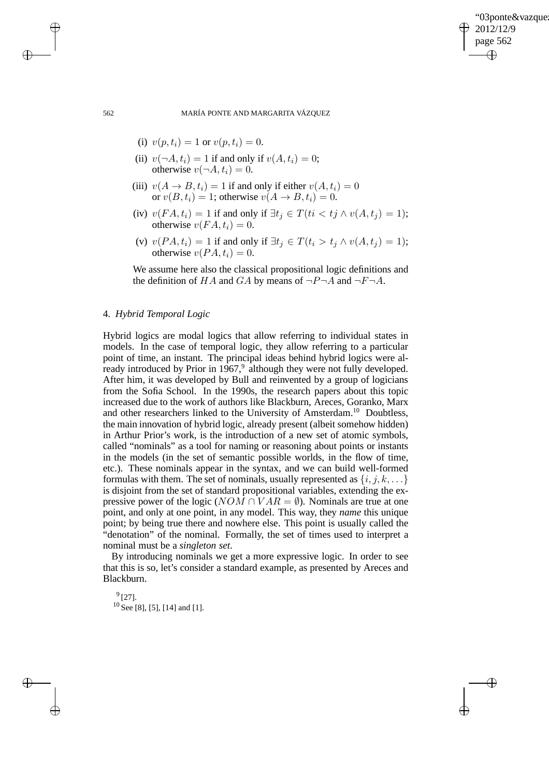✐

562 MARÍA PONTE AND MARGARITA VÁZQUEZ

- (i)  $v(p, t_i) = 1$  or  $v(p, t_i) = 0$ .
- (ii)  $v(\neg A, t_i) = 1$  if and only if  $v(A, t_i) = 0$ ; otherwise  $v(\neg A, t_i) = 0$ .
- (iii)  $v(A \rightarrow B, t_i) = 1$  if and only if either  $v(A, t_i) = 0$ or  $v(B, t_i) = 1$ ; otherwise  $v(A \rightarrow B, t_i) = 0$ .
- (iv)  $v(FA, t_i) = 1$  if and only if  $\exists t_i \in T (ti < tj \land v(A, t_i) = 1);$ otherwise  $v(FA, t_i) = 0$ .
- (v)  $v(P A, t_i) = 1$  if and only if  $\exists t_i \in T(t_i > t_i \land v(A, t_i) = 1);$ otherwise  $v(PA, t_i) = 0$ .

We assume here also the classical propositional logic definitions and the definition of HA and GA by means of  $\neg P\neg A$  and  $\neg F\neg A$ .

# 4. *Hybrid Temporal Logic*

Hybrid logics are modal logics that allow referring to individual states in models. In the case of temporal logic, they allow referring to a particular point of time, an instant. The principal ideas behind hybrid logics were already introduced by Prior in 1967,<sup>9</sup> although they were not fully developed. After him, it was developed by Bull and reinvented by a group of logicians from the Sofia School. In the 1990s, the research papers about this topic increased due to the work of authors like Blackburn, Areces, Goranko, Marx and other researchers linked to the University of Amsterdam.<sup>10</sup> Doubtless, the main innovation of hybrid logic, already present (albeit somehow hidden) in Arthur Prior's work, is the introduction of a new set of atomic symbols, called "nominals" as a tool for naming or reasoning about points or instants in the models (in the set of semantic possible worlds, in the flow of time, etc.). These nominals appear in the syntax, and we can build well-formed formulas with them. The set of nominals, usually represented as  $\{i, j, k, \ldots\}$ is disjoint from the set of standard propositional variables, extending the expressive power of the logic ( $NOM \cap VAR = \emptyset$ ). Nominals are true at one point, and only at one point, in any model. This way, they *name* this unique point; by being true there and nowhere else. This point is usually called the "denotation" of the nominal. Formally, the set of times used to interpret a nominal must be a *singleton set*.

By introducing nominals we get a more expressive logic. In order to see that this is so, let's consider a standard example, as presented by Areces and Blackburn.

 $^{9}$ [27].  $10$  See [8], [5], [14] and [1].

 $\rightarrow$ 

 $\rightarrow$ 

✐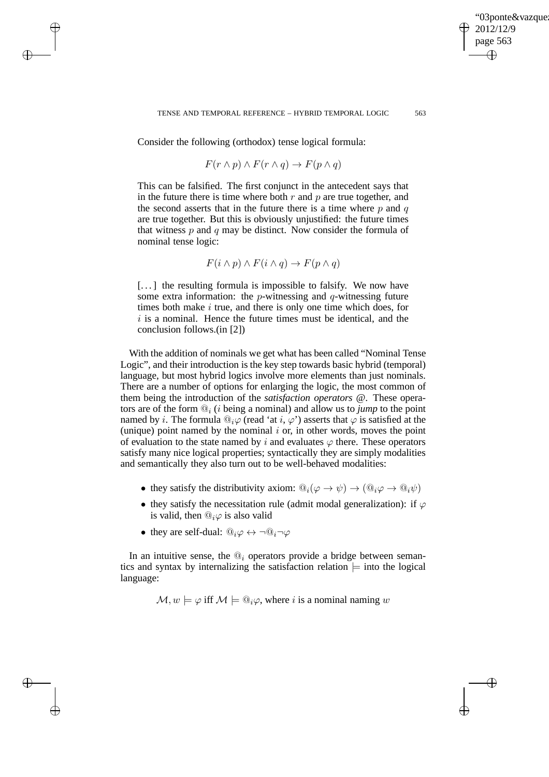✐

## TENSE AND TEMPORAL REFERENCE – HYBRID TEMPORAL LOGIC 563

Consider the following (orthodox) tense logical formula:

 $\rightarrow$ 

 $\rightarrow$ 

✐

✐

$$
F(r \wedge p) \wedge F(r \wedge q) \rightarrow F(p \wedge q)
$$

This can be falsified. The first conjunct in the antecedent says that in the future there is time where both  $r$  and  $p$  are true together, and the second asserts that in the future there is a time where  $p$  and  $q$ are true together. But this is obviously unjustified: the future times that witness  $p$  and  $q$  may be distinct. Now consider the formula of nominal tense logic:

$$
F(i \wedge p) \wedge F(i \wedge q) \rightarrow F(p \wedge q)
$$

 $[\dots]$  the resulting formula is impossible to falsify. We now have some extra information: the  $p$ -witnessing and  $q$ -witnessing future times both make  $i$  true, and there is only one time which does, for  $i$  is a nominal. Hence the future times must be identical, and the conclusion follows.(in [2])

With the addition of nominals we get what has been called "Nominal Tense Logic", and their introduction is the key step towards basic hybrid (temporal) language, but most hybrid logics involve more elements than just nominals. There are a number of options for enlarging the logic, the most common of them being the introduction of the *satisfaction operators* @. These operators are of the form  $\mathbb{Q}_i$  (*i* being a nominal) and allow us to *jump* to the point named by *i*. The formula  $\mathbb{Q}_i\varphi$  (read 'at *i*,  $\varphi$ ') asserts that  $\varphi$  is satisfied at the (unique) point named by the nominal  $i$  or, in other words, moves the point of evaluation to the state named by i and evaluates  $\varphi$  there. These operators satisfy many nice logical properties; syntactically they are simply modalities and semantically they also turn out to be well-behaved modalities:

- they satisfy the distributivity axiom:  $\mathbb{Q}_i(\varphi \to \psi) \to (\mathbb{Q}_i \varphi \to \mathbb{Q}_i \psi)$
- they satisfy the necessitation rule (admit modal generalization): if  $\varphi$ is valid, then  $\mathbb{Q}_i\varphi$  is also valid
- they are self-dual:  $@_{i}\varphi \leftrightarrow \neg @_{i}\neg \varphi$

In an intuitive sense, the  $\mathbb{Q}_i$  operators provide a bridge between semantics and syntax by internalizing the satisfaction relation  $\models$  into the logical language:

 $\mathcal{M}, w \models \varphi$  iff  $\mathcal{M} \models \mathbb{Q}_i \varphi$ , where i is a nominal naming w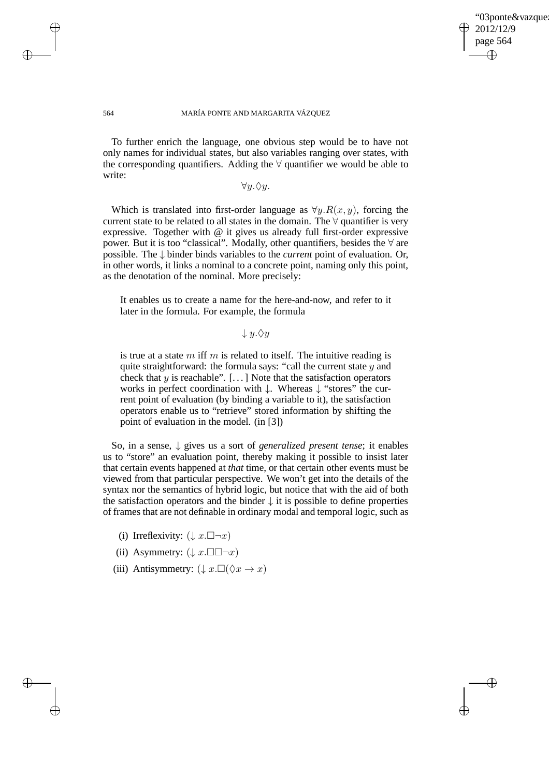✐

## 564 MARÍA PONTE AND MARGARITA VÁZQUEZ

 $\rightarrow$ 

 $\rightarrow$ 

✐

✐

To further enrich the language, one obvious step would be to have not only names for individual states, but also variables ranging over states, with the corresponding quantifiers. Adding the  $\forall$  quantifier we would be able to write:

 $\forall y.\Diamond y.$ 

Which is translated into first-order language as  $\forall y. R(x, y)$ , forcing the current state to be related to all states in the domain. The  $\forall$  quantifier is very expressive. Together with @ it gives us already full first-order expressive power. But it is too "classical". Modally, other quantifiers, besides the  $\forall$  are possible. The ↓ binder binds variables to the *current* point of evaluation. Or, in other words, it links a nominal to a concrete point, naming only this point, as the denotation of the nominal. More precisely:

It enables us to create a name for the here-and-now, and refer to it later in the formula. For example, the formula

 $\downarrow y.\Diamond y$ 

is true at a state  $m$  iff  $m$  is related to itself. The intuitive reading is quite straightforward: the formula says: "call the current state  $y$  and check that  $y$  is reachable". [...] Note that the satisfaction operators works in perfect coordination with ↓. Whereas ↓ "stores" the current point of evaluation (by binding a variable to it), the satisfaction operators enable us to "retrieve" stored information by shifting the point of evaluation in the model. (in [3])

So, in a sense, ↓ gives us a sort of *generalized present tense*; it enables us to "store" an evaluation point, thereby making it possible to insist later that certain events happened at *that* time, or that certain other events must be viewed from that particular perspective. We won't get into the details of the syntax nor the semantics of hybrid logic, but notice that with the aid of both the satisfaction operators and the binder  $\downarrow$  it is possible to define properties of frames that are not definable in ordinary modal and temporal logic, such as

- (i) Irreflexivity:  $(\downarrow x . \Box \neg x)$
- (ii) Asymmetry:  $(\downarrow x.\Box \Box \neg x)$
- (iii) Antisymmetry:  $(\downarrow x. \Box(\Diamond x \to x))$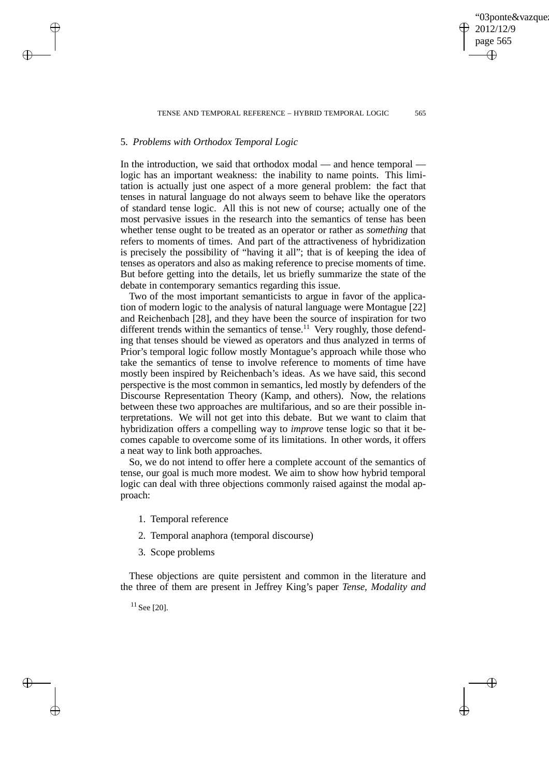03ponte&vazque 2012/12/9 page 565 ✐ ✐

✐

✐

#### TENSE AND TEMPORAL REFERENCE - HYBRID TEMPORAL LOGIC 565

## 5. *Problems with Orthodox Temporal Logic*

 $\rightarrow$ 

 $\rightarrow$ 

✐

✐

In the introduction, we said that orthodox modal — and hence temporal logic has an important weakness: the inability to name points. This limitation is actually just one aspect of a more general problem: the fact that tenses in natural language do not always seem to behave like the operators of standard tense logic. All this is not new of course; actually one of the most pervasive issues in the research into the semantics of tense has been whether tense ought to be treated as an operator or rather as *something* that refers to moments of times. And part of the attractiveness of hybridization is precisely the possibility of "having it all"; that is of keeping the idea of tenses as operators and also as making reference to precise moments of time. But before getting into the details, let us briefly summarize the state of the debate in contemporary semantics regarding this issue.

Two of the most important semanticists to argue in favor of the application of modern logic to the analysis of natural language were Montague [22] and Reichenbach [28], and they have been the source of inspiration for two different trends within the semantics of tense.<sup>11</sup> Very roughly, those defending that tenses should be viewed as operators and thus analyzed in terms of Prior's temporal logic follow mostly Montague's approach while those who take the semantics of tense to involve reference to moments of time have mostly been inspired by Reichenbach's ideas. As we have said, this second perspective is the most common in semantics, led mostly by defenders of the Discourse Representation Theory (Kamp, and others). Now, the relations between these two approaches are multifarious, and so are their possible interpretations. We will not get into this debate. But we want to claim that hybridization offers a compelling way to *improve* tense logic so that it becomes capable to overcome some of its limitations. In other words, it offers a neat way to link both approaches.

So, we do not intend to offer here a complete account of the semantics of tense, our goal is much more modest. We aim to show how hybrid temporal logic can deal with three objections commonly raised against the modal approach:

- 1. Temporal reference
- 2. Temporal anaphora (temporal discourse)
- 3. Scope problems

These objections are quite persistent and common in the literature and the three of them are present in Jeffrey King's paper *Tense, Modality and*

 $11$  See [20].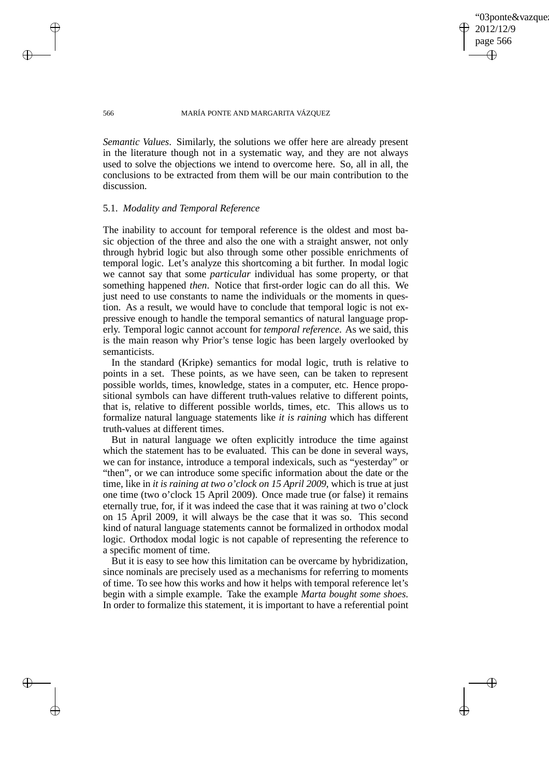03ponte&vazque 2012/12/9 page 566 ✐ ✐

✐

✐

## 566 MARÍA PONTE AND MARGARITA VÁZQUEZ

*Semantic Values*. Similarly, the solutions we offer here are already present in the literature though not in a systematic way, and they are not always used to solve the objections we intend to overcome here. So, all in all, the conclusions to be extracted from them will be our main contribution to the discussion.

## 5.1. *Modality and Temporal Reference*

The inability to account for temporal reference is the oldest and most basic objection of the three and also the one with a straight answer, not only through hybrid logic but also through some other possible enrichments of temporal logic. Let's analyze this shortcoming a bit further. In modal logic we cannot say that some *particular* individual has some property, or that something happened *then*. Notice that first-order logic can do all this. We just need to use constants to name the individuals or the moments in question. As a result, we would have to conclude that temporal logic is not expressive enough to handle the temporal semantics of natural language properly. Temporal logic cannot account for *temporal reference*. As we said, this is the main reason why Prior's tense logic has been largely overlooked by semanticists.

In the standard (Kripke) semantics for modal logic, truth is relative to points in a set. These points, as we have seen, can be taken to represent possible worlds, times, knowledge, states in a computer, etc. Hence propositional symbols can have different truth-values relative to different points, that is, relative to different possible worlds, times, etc. This allows us to formalize natural language statements like *it is raining* which has different truth-values at different times.

But in natural language we often explicitly introduce the time against which the statement has to be evaluated. This can be done in several ways, we can for instance, introduce a temporal indexicals, such as "yesterday" or "then", or we can introduce some specific information about the date or the time, like in *it is raining at two o'clock on 15 April 2009*, which is true at just one time (two o'clock 15 April 2009). Once made true (or false) it remains eternally true, for, if it was indeed the case that it was raining at two o'clock on 15 April 2009, it will always be the case that it was so. This second kind of natural language statements cannot be formalized in orthodox modal logic. Orthodox modal logic is not capable of representing the reference to a specific moment of time.

But it is easy to see how this limitation can be overcame by hybridization, since nominals are precisely used as a mechanisms for referring to moments of time. To see how this works and how it helps with temporal reference let's begin with a simple example. Take the example *Marta bought some shoes*. In order to formalize this statement, it is important to have a referential point

 $\rightarrow$ 

 $\rightarrow$ 

✐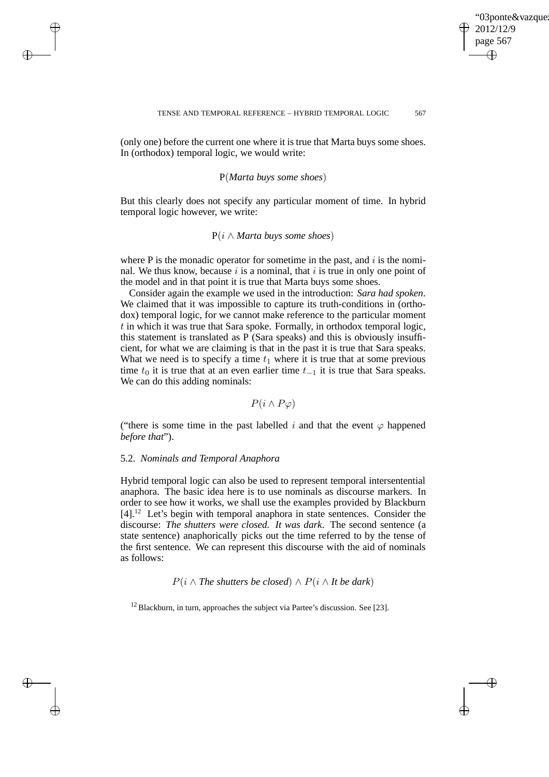✐

(only one) before the current one where it is true that Marta buys some shoes. In (orthodox) temporal logic, we would write:

# P(*Marta buys some shoes*)

But this clearly does not specify any particular moment of time. In hybrid temporal logic however, we write:

# P(i ∧ *Marta buys some shoes*)

where P is the monadic operator for sometime in the past, and  $i$  is the nominal. We thus know, because  $i$  is a nominal, that  $i$  is true in only one point of the model and in that point it is true that Marta buys some shoes.

Consider again the example we used in the introduction: *Sara had spoken*. We claimed that it was impossible to capture its truth-conditions in (orthodox) temporal logic, for we cannot make reference to the particular moment  $t$  in which it was true that Sara spoke. Formally, in orthodox temporal logic, this statement is translated as  $\overline{P}$  (Sara speaks) and this is obviously insufficient, for what we are claiming is that in the past it is true that Sara speaks. What we need is to specify a time  $t_1$  where it is true that at some previous time  $t_0$  it is true that at an even earlier time  $t_{-1}$  it is true that Sara speaks. We can do this adding nominals:

 $P(i \wedge P\varphi)$ 

("there is some time in the past labelled i and that the event  $\varphi$  happened *before that*").

# 5.2. *Nominals and Temporal Anaphora*

 $\rightarrow$ 

 $\rightarrow$ 

✐

✐

Hybrid temporal logic can also be used to represent temporal intersentential anaphora. The basic idea here is to use nominals as discourse markers. In order to see how it works, we shall use the examples provided by Blackburn [4].<sup>12</sup> Let's begin with temporal anaphora in state sentences. Consider the discourse: *The shutters were closed. It was dark*. The second sentence (a state sentence) anaphorically picks out the time referred to by the tense of the first sentence. We can represent this discourse with the aid of nominals as follows:

 $P(i \wedge The$  *shutters be closed*)  $\wedge P(i \wedge It$  *be dark*)

 $12$  Blackburn, in turn, approaches the subject via Partee's discussion. See [23].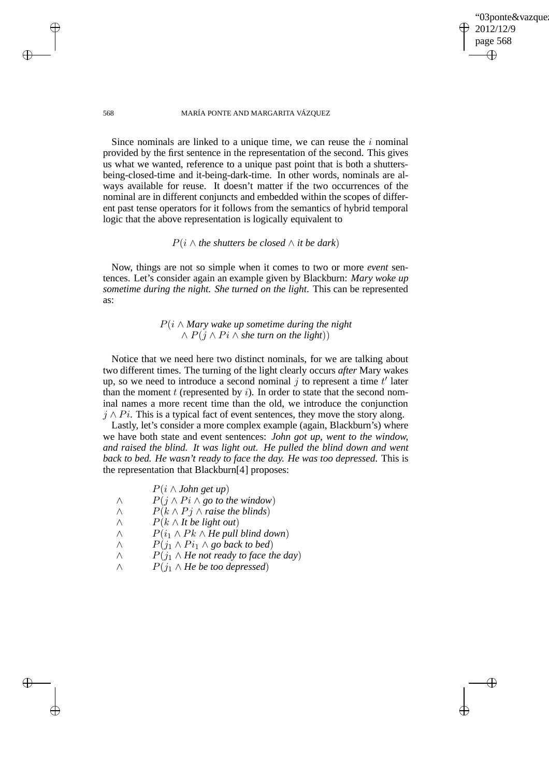✐

## 568 MARÍA PONTE AND MARGARITA VÁZQUEZ

Since nominals are linked to a unique time, we can reuse the  $i$  nominal provided by the first sentence in the representation of the second. This gives us what we wanted, reference to a unique past point that is both a shuttersbeing-closed-time and it-being-dark-time. In other words, nominals are always available for reuse. It doesn't matter if the two occurrences of the nominal are in different conjuncts and embedded within the scopes of different past tense operators for it follows from the semantics of hybrid temporal logic that the above representation is logically equivalent to

## $P(i \wedge$  *the shutters be closed*  $\wedge$  *it be dark*)

Now, things are not so simple when it comes to two or more *event* sentences. Let's consider again an example given by Blackburn: *Mary woke up sometime during the night. She turned on the light*. This can be represented as:

# P(i ∧ *Mary wake up sometime during the night*  $∧ P(j ∧ Pi ∧ she turn on the light))$

Notice that we need here two distinct nominals, for we are talking about two different times. The turning of the light clearly occurs *after* Mary wakes up, so we need to introduce a second nominal  $j$  to represent a time  $t'$  later than the moment  $t$  (represented by  $i$ ). In order to state that the second nominal names a more recent time than the old, we introduce the conjunction  $j \wedge Pi$ . This is a typical fact of event sentences, they move the story along.

Lastly, let's consider a more complex example (again, Blackburn's) where we have both state and event sentences: *John got up, went to the window, and raised the blind. It was light out. He pulled the blind down and went back to bed. He wasn't ready to face the day. He was too depressed*. This is the representation that Blackburn[4] proposes:

|  | $P(i \wedge John get up)$ |  |  |  |
|--|---------------------------|--|--|--|
|--|---------------------------|--|--|--|

- $∧$  *P*(*j* ∧ *Pi* ∧ *go to the window*)
- $∧$  *P*( $k ∧ Pj ∧ raise the blinds$ )
- ∧ P(k ∧ *It be light out*)
- $∧$   $P(i_1 ∧ Pk ∧ He$  *pull blind down*)
- $∧$   $P(j_1 ∧ Pi_1 ∧ go$  back to bed)
- $∧$  *P*( $j_1 ∧$ *He not ready to face the day*)
- ∧ P(j1 ∧ *He be too depressed*)

 $\rightarrow$ 

 $\rightarrow$ 

✐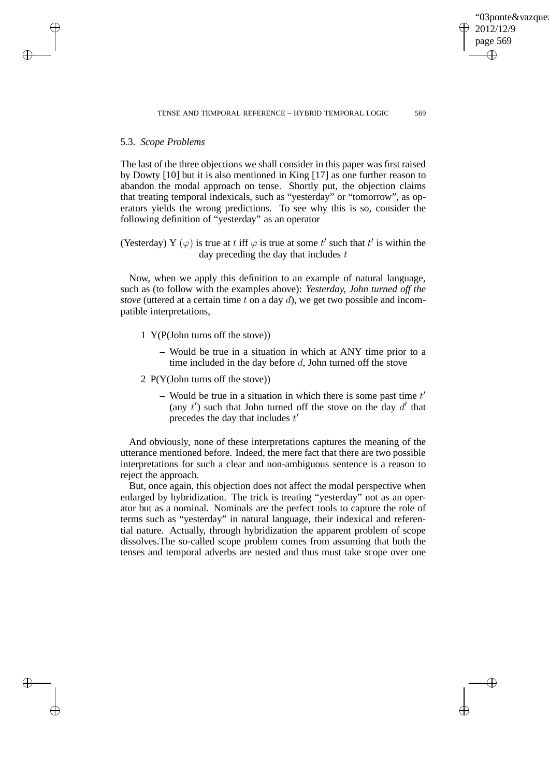✐

## 5.3. *Scope Problems*

 $\rightarrow$ 

 $\rightarrow$ 

✐

✐

The last of the three objections we shall consider in this paper was first raised by Dowty [10] but it is also mentioned in King [17] as one further reason to abandon the modal approach on tense. Shortly put, the objection claims that treating temporal indexicals, such as "yesterday" or "tomorrow", as operators yields the wrong predictions. To see why this is so, consider the following definition of "yesterday" as an operator

(Yesterday) Y  $(\varphi)$  is true at t iff  $\varphi$  is true at some t' such that t' is within the day preceding the day that includes  $t$ 

Now, when we apply this definition to an example of natural language, such as (to follow with the examples above): *Yesterday, John turned off the stove* (uttered at a certain time t on a day d), we get two possible and incompatible interpretations,

- 1 Y(P(John turns off the stove))
	- Would be true in a situation in which at ANY time prior to a time included in the day before d, John turned off the stove
- 2 P(Y(John turns off the stove))
	- Would be true in a situation in which there is some past time  $t'$ (any  $t'$ ) such that John turned off the stove on the day  $d'$  that precedes the day that includes  $t'$

And obviously, none of these interpretations captures the meaning of the utterance mentioned before. Indeed, the mere fact that there are two possible interpretations for such a clear and non-ambiguous sentence is a reason to reject the approach.

But, once again, this objection does not affect the modal perspective when enlarged by hybridization. The trick is treating "yesterday" not as an operator but as a nominal. Nominals are the perfect tools to capture the role of terms such as "yesterday" in natural language, their indexical and referential nature. Actually, through hybridization the apparent problem of scope dissolves.The so-called scope problem comes from assuming that both the tenses and temporal adverbs are nested and thus must take scope over one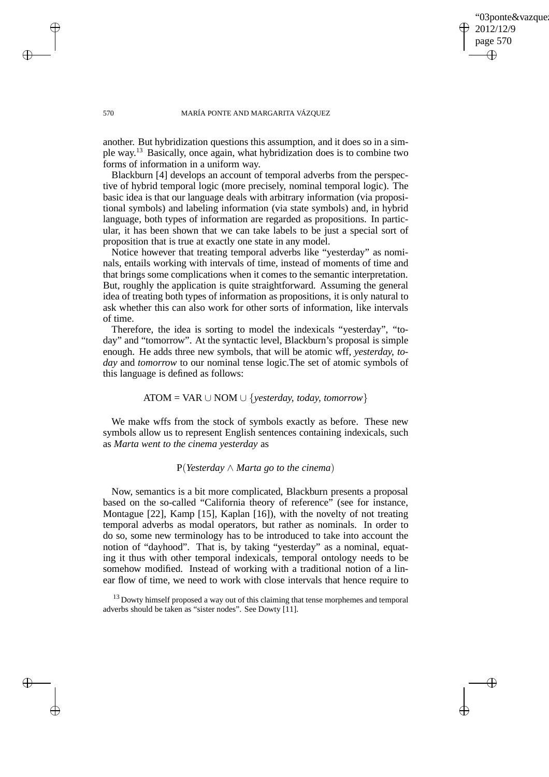03ponte&vazque 2012/12/9 page 570 ✐ ✐

✐

✐

## 570 MARÍA PONTE AND MARGARITA VÁZQUEZ

another. But hybridization questions this assumption, and it does so in a simple way.<sup>13</sup> Basically, once again, what hybridization does is to combine two forms of information in a uniform way.

Blackburn [4] develops an account of temporal adverbs from the perspective of hybrid temporal logic (more precisely, nominal temporal logic). The basic idea is that our language deals with arbitrary information (via propositional symbols) and labeling information (via state symbols) and, in hybrid language, both types of information are regarded as propositions. In particular, it has been shown that we can take labels to be just a special sort of proposition that is true at exactly one state in any model.

Notice however that treating temporal adverbs like "yesterday" as nominals, entails working with intervals of time, instead of moments of time and that brings some complications when it comes to the semantic interpretation. But, roughly the application is quite straightforward. Assuming the general idea of treating both types of information as propositions, it is only natural to ask whether this can also work for other sorts of information, like intervals of time.

Therefore, the idea is sorting to model the indexicals "yesterday", "today" and "tomorrow". At the syntactic level, Blackburn's proposal is simple enough. He adds three new symbols, that will be atomic wff, *yesterday, today* and *tomorrow* to our nominal tense logic.The set of atomic symbols of this language is defined as follows:

# ATOM = VAR ∪ NOM ∪ {*yesterday, today, tomorrow*}

We make wffs from the stock of symbols exactly as before. These new symbols allow us to represent English sentences containing indexicals, such as *Marta went to the cinema yesterday* as

# P(*Yesterday* ∧ *Marta go to the cinema*)

Now, semantics is a bit more complicated, Blackburn presents a proposal based on the so-called "California theory of reference" (see for instance, Montague [22], Kamp [15], Kaplan [16]), with the novelty of not treating temporal adverbs as modal operators, but rather as nominals. In order to do so, some new terminology has to be introduced to take into account the notion of "dayhood". That is, by taking "yesterday" as a nominal, equating it thus with other temporal indexicals, temporal ontology needs to be somehow modified. Instead of working with a traditional notion of a linear flow of time, we need to work with close intervals that hence require to

 $13$  Dowty himself proposed a way out of this claiming that tense morphemes and temporal adverbs should be taken as "sister nodes". See Dowty [11].

 $\rightarrow$ 

 $\rightarrow$ 

✐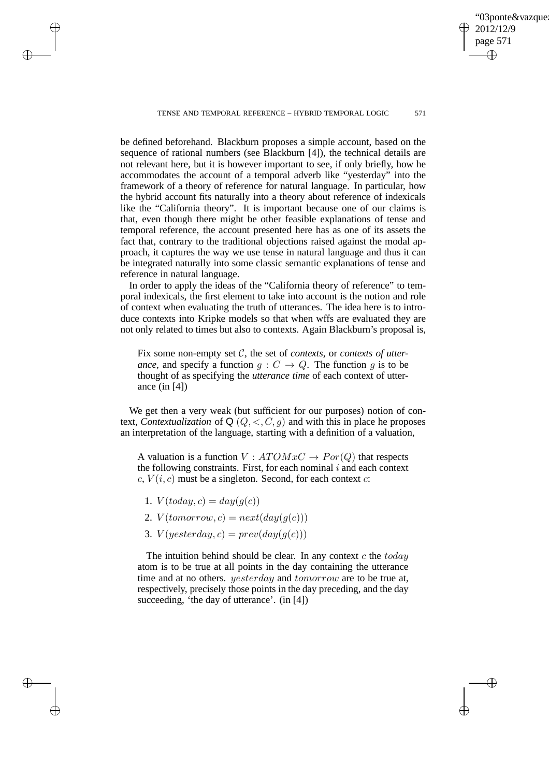03ponte&vazque 2012/12/9 page 571 ✐ ✐

✐

✐

#### TENSE AND TEMPORAL REFERENCE - HYBRID TEMPORAL LOGIC 571

be defined beforehand. Blackburn proposes a simple account, based on the sequence of rational numbers (see Blackburn [4]), the technical details are not relevant here, but it is however important to see, if only briefly, how he accommodates the account of a temporal adverb like "yesterday" into the framework of a theory of reference for natural language. In particular, how the hybrid account fits naturally into a theory about reference of indexicals like the "California theory". It is important because one of our claims is that, even though there might be other feasible explanations of tense and temporal reference, the account presented here has as one of its assets the fact that, contrary to the traditional objections raised against the modal approach, it captures the way we use tense in natural language and thus it can be integrated naturally into some classic semantic explanations of tense and reference in natural language.

In order to apply the ideas of the "California theory of reference" to temporal indexicals, the first element to take into account is the notion and role of context when evaluating the truth of utterances. The idea here is to introduce contexts into Kripke models so that when wffs are evaluated they are not only related to times but also to contexts. Again Blackburn's proposal is,

Fix some non-empty set C, the set of *contexts*, or *contexts of utterance*, and specify a function  $g: C \to Q$ . The function g is to be thought of as specifying the *utterance time* of each context of utterance (in [4])

We get then a very weak (but sufficient for our purposes) notion of context, *Contextualization* of  $Q$  ( $Q, \langle, C, g \rangle$  and with this in place he proposes an interpretation of the language, starting with a definition of a valuation,

A valuation is a function  $V : ATOMxC \rightarrow Por(Q)$  that respects the following constraints. First, for each nominal  $i$  and each context  $c, V(i, c)$  must be a singleton. Second, for each context  $c$ :

1.  $V(today, c) = day(q(c))$ 

 $\rightarrow$ 

 $\rightarrow$ 

✐

✐

- 2.  $V(tomorrow, c) = next/day(g(c))$
- 3.  $V(yesterday, c) = prev(day(q(c)))$

The intuition behind should be clear. In any context  $c$  the  $today$ atom is to be true at all points in the day containing the utterance time and at no others. *yesterday* and *tomorrow* are to be true at, respectively, precisely those points in the day preceding, and the day succeeding, 'the day of utterance'. (in [4])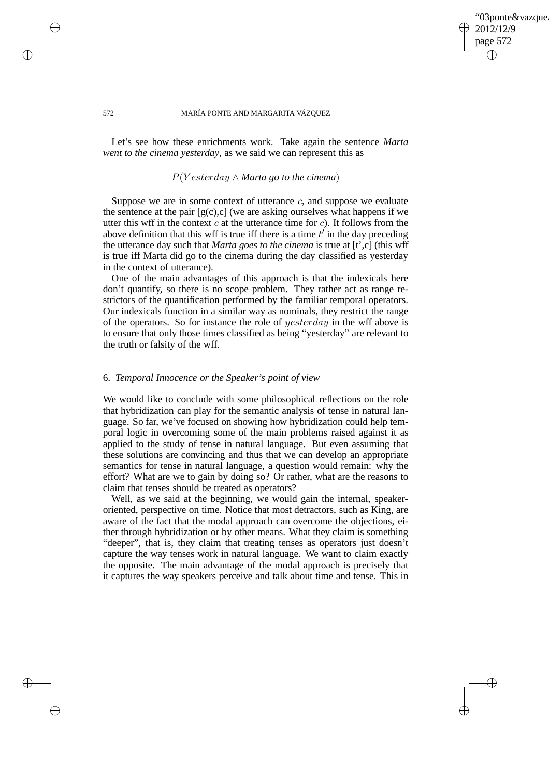# 03ponte&vazque 2012/12/9 page 572 ✐ ✐

✐

✐

## 572 MARÍA PONTE AND MARGARITA VÁZQUEZ

Let's see how these enrichments work. Take again the sentence *Marta went to the cinema yesterday*, as we said we can represent this as

# P(Y esterday ∧ *Marta go to the cinema*)

Suppose we are in some context of utterance  $c$ , and suppose we evaluate the sentence at the pair  $[g(c),c]$  (we are asking ourselves what happens if we utter this wff in the context  $c$  at the utterance time for  $c$ ). It follows from the above definition that this wff is true iff there is a time  $t'$  in the day preceding the utterance day such that *Marta goes to the cinema* is true at [t',c] (this wff is true iff Marta did go to the cinema during the day classified as yesterday in the context of utterance).

One of the main advantages of this approach is that the indexicals here don't quantify, so there is no scope problem. They rather act as range restrictors of the quantification performed by the familiar temporal operators. Our indexicals function in a similar way as nominals, they restrict the range of the operators. So for instance the role of yesterday in the wff above is to ensure that only those times classified as being "yesterday" are relevant to the truth or falsity of the wff.

## 6. *Temporal Innocence or the Speaker's point of view*

We would like to conclude with some philosophical reflections on the role that hybridization can play for the semantic analysis of tense in natural language. So far, we've focused on showing how hybridization could help temporal logic in overcoming some of the main problems raised against it as applied to the study of tense in natural language. But even assuming that these solutions are convincing and thus that we can develop an appropriate semantics for tense in natural language, a question would remain: why the effort? What are we to gain by doing so? Or rather, what are the reasons to claim that tenses should be treated as operators?

Well, as we said at the beginning, we would gain the internal, speakeroriented, perspective on time. Notice that most detractors, such as King, are aware of the fact that the modal approach can overcome the objections, either through hybridization or by other means. What they claim is something "deeper", that is, they claim that treating tenses as operators just doesn't capture the way tenses work in natural language. We want to claim exactly the opposite. The main advantage of the modal approach is precisely that it captures the way speakers perceive and talk about time and tense. This in

 $\rightarrow$ 

 $\rightarrow$ 

✐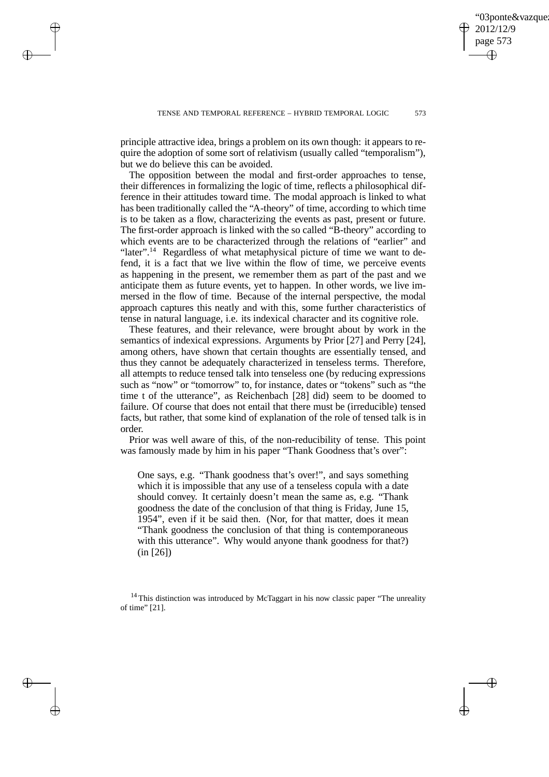✐

principle attractive idea, brings a problem on its own though: it appears to require the adoption of some sort of relativism (usually called "temporalism"), but we do believe this can be avoided.

 $\rightarrow$ 

 $\rightarrow$ 

✐

✐

The opposition between the modal and first-order approaches to tense, their differences in formalizing the logic of time, reflects a philosophical difference in their attitudes toward time. The modal approach is linked to what has been traditionally called the "A-theory" of time, according to which time is to be taken as a flow, characterizing the events as past, present or future. The first-order approach is linked with the so called "B-theory" according to which events are to be characterized through the relations of "earlier" and "later".<sup>14</sup> Regardless of what metaphysical picture of time we want to defend, it is a fact that we live within the flow of time, we perceive events as happening in the present, we remember them as part of the past and we anticipate them as future events, yet to happen. In other words, we live immersed in the flow of time. Because of the internal perspective, the modal approach captures this neatly and with this, some further characteristics of tense in natural language, i.e. its indexical character and its cognitive role.

These features, and their relevance, were brought about by work in the semantics of indexical expressions. Arguments by Prior [27] and Perry [24], among others, have shown that certain thoughts are essentially tensed, and thus they cannot be adequately characterized in tenseless terms. Therefore, all attempts to reduce tensed talk into tenseless one (by reducing expressions such as "now" or "tomorrow" to, for instance, dates or "tokens" such as "the time t of the utterance", as Reichenbach [28] did) seem to be doomed to failure. Of course that does not entail that there must be (irreducible) tensed facts, but rather, that some kind of explanation of the role of tensed talk is in order.

Prior was well aware of this, of the non-reducibility of tense. This point was famously made by him in his paper "Thank Goodness that's over":

One says, e.g. "Thank goodness that's over!", and says something which it is impossible that any use of a tenseless copula with a date should convey. It certainly doesn't mean the same as, e.g. "Thank goodness the date of the conclusion of that thing is Friday, June 15, 1954", even if it be said then. (Nor, for that matter, does it mean "Thank goodness the conclusion of that thing is contemporaneous with this utterance". Why would anyone thank goodness for that?) (in [26])

<sup>14</sup> This distinction was introduced by McTaggart in his now classic paper "The unreality of time" [21].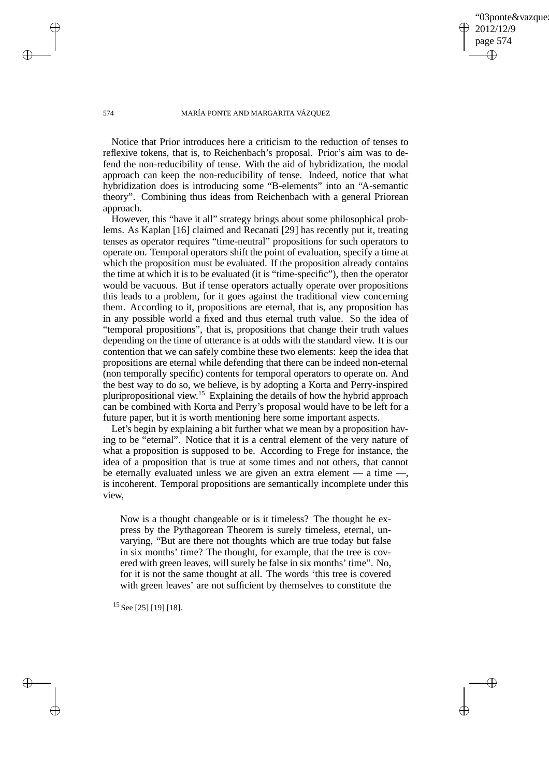03ponte&vazque 2012/12/9 page 574 ✐ ✐

✐

✐

## 574 MARÍA PONTE AND MARGARITA VÁZQUEZ

Notice that Prior introduces here a criticism to the reduction of tenses to reflexive tokens, that is, to Reichenbach's proposal. Prior's aim was to defend the non-reducibility of tense. With the aid of hybridization, the modal approach can keep the non-reducibility of tense. Indeed, notice that what hybridization does is introducing some "B-elements" into an "A-semantic theory". Combining thus ideas from Reichenbach with a general Priorean approach.

However, this "have it all" strategy brings about some philosophical problems. As Kaplan [16] claimed and Recanati [29] has recently put it, treating tenses as operator requires "time-neutral" propositions for such operators to operate on. Temporal operators shift the point of evaluation, specify a time at which the proposition must be evaluated. If the proposition already contains the time at which it is to be evaluated (it is "time-specific"), then the operator would be vacuous. But if tense operators actually operate over propositions this leads to a problem, for it goes against the traditional view concerning them. According to it, propositions are eternal, that is, any proposition has in any possible world a fixed and thus eternal truth value. So the idea of "temporal propositions", that is, propositions that change their truth values depending on the time of utterance is at odds with the standard view. It is our contention that we can safely combine these two elements: keep the idea that propositions are eternal while defending that there can be indeed non-eternal (non temporally specific) contents for temporal operators to operate on. And the best way to do so, we believe, is by adopting a Korta and Perry-inspired pluripropositional view.<sup>15</sup> Explaining the details of how the hybrid approach can be combined with Korta and Perry's proposal would have to be left for a future paper, but it is worth mentioning here some important aspects.

Let's begin by explaining a bit further what we mean by a proposition having to be "eternal". Notice that it is a central element of the very nature of what a proposition is supposed to be. According to Frege for instance, the idea of a proposition that is true at some times and not others, that cannot be eternally evaluated unless we are given an extra element — a time —, is incoherent. Temporal propositions are semantically incomplete under this view,

Now is a thought changeable or is it timeless? The thought he express by the Pythagorean Theorem is surely timeless, eternal, unvarying, "But are there not thoughts which are true today but false in six months' time? The thought, for example, that the tree is covered with green leaves, will surely be false in six months' time". No, for it is not the same thought at all. The words 'this tree is covered with green leaves' are not sufficient by themselves to constitute the

<sup>15</sup> See [25] [19] [18].

 $\rightarrow$ 

 $\rightarrow$ 

✐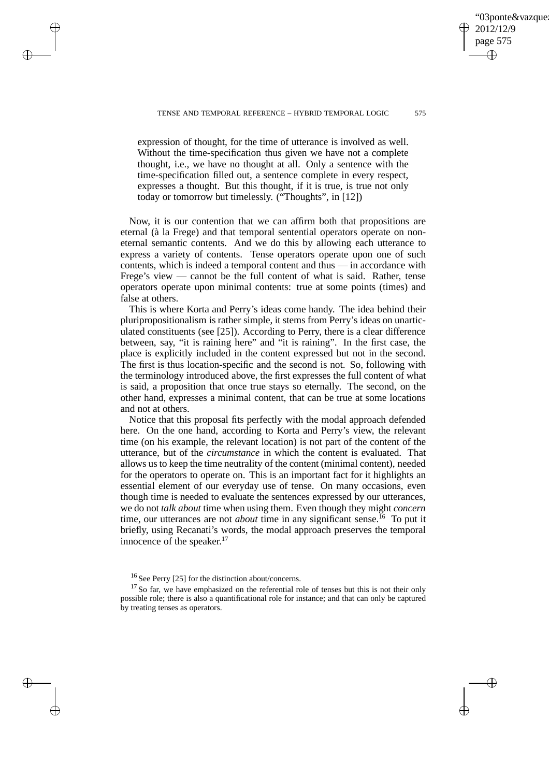✐

 $\rightarrow$ 

 $\rightarrow$ 

✐

✐

expression of thought, for the time of utterance is involved as well. Without the time-specification thus given we have not a complete thought, i.e., we have no thought at all. Only a sentence with the time-specification filled out, a sentence complete in every respect, expresses a thought. But this thought, if it is true, is true not only today or tomorrow but timelessly. ("Thoughts", in [12])

Now, it is our contention that we can affirm both that propositions are eternal (à la Frege) and that temporal sentential operators operate on noneternal semantic contents. And we do this by allowing each utterance to express a variety of contents. Tense operators operate upon one of such contents, which is indeed a temporal content and thus — in accordance with Frege's view — cannot be the full content of what is said. Rather, tense operators operate upon minimal contents: true at some points (times) and false at others.

This is where Korta and Perry's ideas come handy. The idea behind their pluripropositionalism is rather simple, it stems from Perry's ideas on unarticulated constituents (see [25]). According to Perry, there is a clear difference between, say, "it is raining here" and "it is raining". In the first case, the place is explicitly included in the content expressed but not in the second. The first is thus location-specific and the second is not. So, following with the terminology introduced above, the first expresses the full content of what is said, a proposition that once true stays so eternally. The second, on the other hand, expresses a minimal content, that can be true at some locations and not at others.

Notice that this proposal fits perfectly with the modal approach defended here. On the one hand, according to Korta and Perry's view, the relevant time (on his example, the relevant location) is not part of the content of the utterance, but of the *circumstance* in which the content is evaluated. That allows us to keep the time neutrality of the content (minimal content), needed for the operators to operate on. This is an important fact for it highlights an essential element of our everyday use of tense. On many occasions, even though time is needed to evaluate the sentences expressed by our utterances, we do not *talk about* time when using them. Even though they might *concern* time, our utterances are not *about* time in any significant sense.<sup>16</sup> To put it briefly, using Recanati's words, the modal approach preserves the temporal innocence of the speaker. $17$ 

<sup>16</sup> See Perry [25] for the distinction about/concerns.

 $17$  So far, we have emphasized on the referential role of tenses but this is not their only possible role; there is also a quantificational role for instance; and that can only be captured by treating tenses as operators.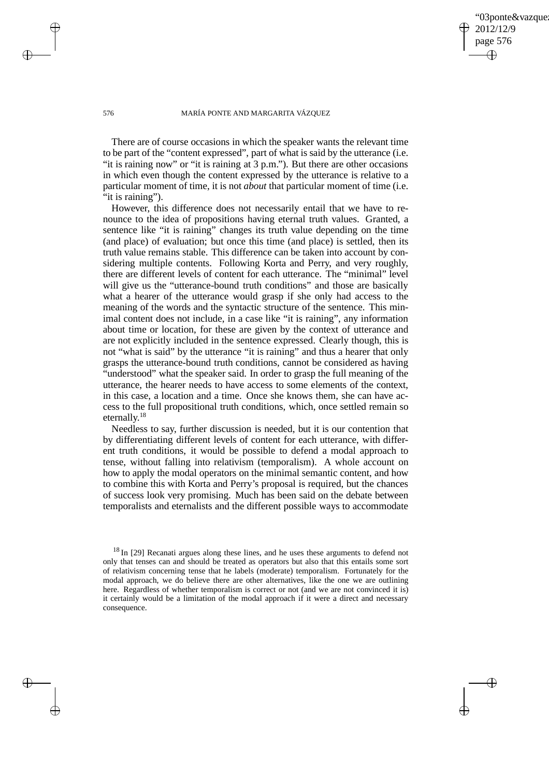03ponte&vazque 2012/12/9 page 576 ✐ ✐

✐

✐

### 576 MARÍA PONTE AND MARGARITA VÁZQUEZ

There are of course occasions in which the speaker wants the relevant time to be part of the "content expressed", part of what is said by the utterance (i.e. "it is raining now" or "it is raining at 3 p.m."). But there are other occasions in which even though the content expressed by the utterance is relative to a particular moment of time, it is not *about* that particular moment of time (i.e. "it is raining").

However, this difference does not necessarily entail that we have to renounce to the idea of propositions having eternal truth values. Granted, a sentence like "it is raining" changes its truth value depending on the time (and place) of evaluation; but once this time (and place) is settled, then its truth value remains stable. This difference can be taken into account by considering multiple contents. Following Korta and Perry, and very roughly, there are different levels of content for each utterance. The "minimal" level will give us the "utterance-bound truth conditions" and those are basically what a hearer of the utterance would grasp if she only had access to the meaning of the words and the syntactic structure of the sentence. This minimal content does not include, in a case like "it is raining", any information about time or location, for these are given by the context of utterance and are not explicitly included in the sentence expressed. Clearly though, this is not "what is said" by the utterance "it is raining" and thus a hearer that only grasps the utterance-bound truth conditions, cannot be considered as having "understood" what the speaker said. In order to grasp the full meaning of the utterance, the hearer needs to have access to some elements of the context, in this case, a location and a time. Once she knows them, she can have access to the full propositional truth conditions, which, once settled remain so eternally.<sup>18</sup>

Needless to say, further discussion is needed, but it is our contention that by differentiating different levels of content for each utterance, with different truth conditions, it would be possible to defend a modal approach to tense, without falling into relativism (temporalism). A whole account on how to apply the modal operators on the minimal semantic content, and how to combine this with Korta and Perry's proposal is required, but the chances of success look very promising. Much has been said on the debate between temporalists and eternalists and the different possible ways to accommodate

 $\rightarrow$ 

 $\rightarrow$ 

✐

<sup>&</sup>lt;sup>18</sup> In [29] Recanati argues along these lines, and he uses these arguments to defend not only that tenses can and should be treated as operators but also that this entails some sort of relativism concerning tense that he labels (moderate) temporalism. Fortunately for the modal approach, we do believe there are other alternatives, like the one we are outlining here. Regardless of whether temporalism is correct or not (and we are not convinced it is) it certainly would be a limitation of the modal approach if it were a direct and necessary consequence.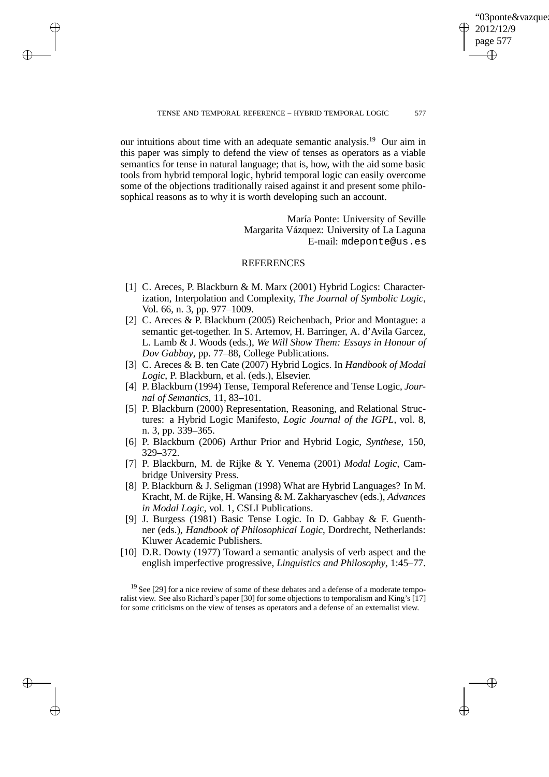✐

our intuitions about time with an adequate semantic analysis.<sup>19</sup> Our aim in this paper was simply to defend the view of tenses as operators as a viable semantics for tense in natural language; that is, how, with the aid some basic tools from hybrid temporal logic, hybrid temporal logic can easily overcome some of the objections traditionally raised against it and present some philosophical reasons as to why it is worth developing such an account.

 $\rightarrow$ 

 $\rightarrow$ 

✐

✐

María Ponte: University of Seville Margarita Vázquez: University of La Laguna E-mail: mdeponte@us.es

## REFERENCES

- [1] C. Areces, P. Blackburn & M. Marx (2001) Hybrid Logics: Characterization, Interpolation and Complexity, *The Journal of Symbolic Logic*, Vol. 66, n. 3, pp. 977–1009.
- [2] C. Areces & P. Blackburn (2005) Reichenbach, Prior and Montague: a semantic get-together. In S. Artemov, H. Barringer, A. d'Avila Garcez, L. Lamb & J. Woods (eds.), *We Will Show Them: Essays in Honour of Dov Gabbay*, pp. 77–88, College Publications.
- [3] C. Areces & B. ten Cate (2007) Hybrid Logics. In *Handbook of Modal Logic*, P. Blackburn, et al. (eds.), Elsevier.
- [4] P. Blackburn (1994) Tense, Temporal Reference and Tense Logic, *Journal of Semantics*, 11, 83–101.
- [5] P. Blackburn (2000) Representation, Reasoning, and Relational Structures: a Hybrid Logic Manifesto, *Logic Journal of the IGPL*, vol. 8, n. 3, pp. 339–365.
- [6] P. Blackburn (2006) Arthur Prior and Hybrid Logic, *Synthese*, 150, 329–372.
- [7] P. Blackburn, M. de Rijke & Y. Venema (2001) *Modal Logic*, Cambridge University Press.
- [8] P. Blackburn & J. Seligman (1998) What are Hybrid Languages? In M. Kracht, M. de Rijke, H. Wansing & M. Zakharyaschev (eds.), *Advances in Modal Logic*, vol. 1, CSLI Publications.
- [9] J. Burgess (1981) Basic Tense Logic. In D. Gabbay & F. Guenthner (eds.), *Handbook of Philosophical Logic*, Dordrecht, Netherlands: Kluwer Academic Publishers.
- [10] D.R. Dowty (1977) Toward a semantic analysis of verb aspect and the english imperfective progressive, *Linguistics and Philosophy*, 1:45–77.

 $19$  See [29] for a nice review of some of these debates and a defense of a moderate temporalist view. See also Richard's paper [30] for some objections to temporalism and King's [17] for some criticisms on the view of tenses as operators and a defense of an externalist view.